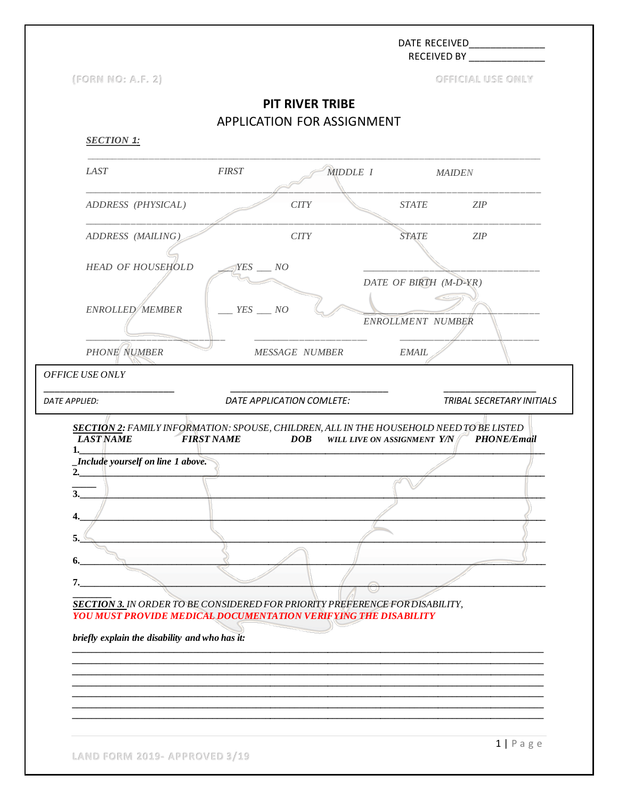**RECEIVED BY** (FORN NO: A.F. 2) OFFICIAL USE ONLY **PIT RIVER TRIBE** APPLICATION FOR ASSIGNMENT **SECTION 1:** LAST **FIRST** MIDDLE 1 **MAIDEN** ADDRESS (PHYSICAL)  $CITY$ **STATE**  $ZIP$ ADDRESS (MAILING) **CITY STATE**  $ZIP$ **HEAD OF HOUSEHOLD**  $YES$  NO DATE OF BIRTH (M-D-YR) ENROLLED MEMBER  $YES$  \_\_ NO ENROLLMENT NUMBER **PHONE NUMBER EMAIL MESSAGE NUMBER** OFFICE USE ONLY DATE APPLICATION COMLETE: DATE APPLIED: TRIBAL SECRETARY INITIALS SECTION 2: FAMILY INFORMATION: SPOUSE, CHILDREN, ALL IN THE HOUSEHOLD NEED TO BE LISTED **FIRST NAME LAST NAME DOB** WILL LIVE ON ASSIGNMENT Y/N PHONE/Email  $1.$ Include yourself on line 1 above.  $2.$  $\overline{3}$ . 5. 6. 7. **SECTION 3. IN ORDER TO BE CONSIDERED FOR PRIORITY PREFERENCE FOR DISABILITY, YOU MUST PROVIDE MEDICAL DOCUMENTATION VERIFYING THE DISABILITY** briefly explain the disability and who has it:

LAND FORM 2019- APPROVED 3/19